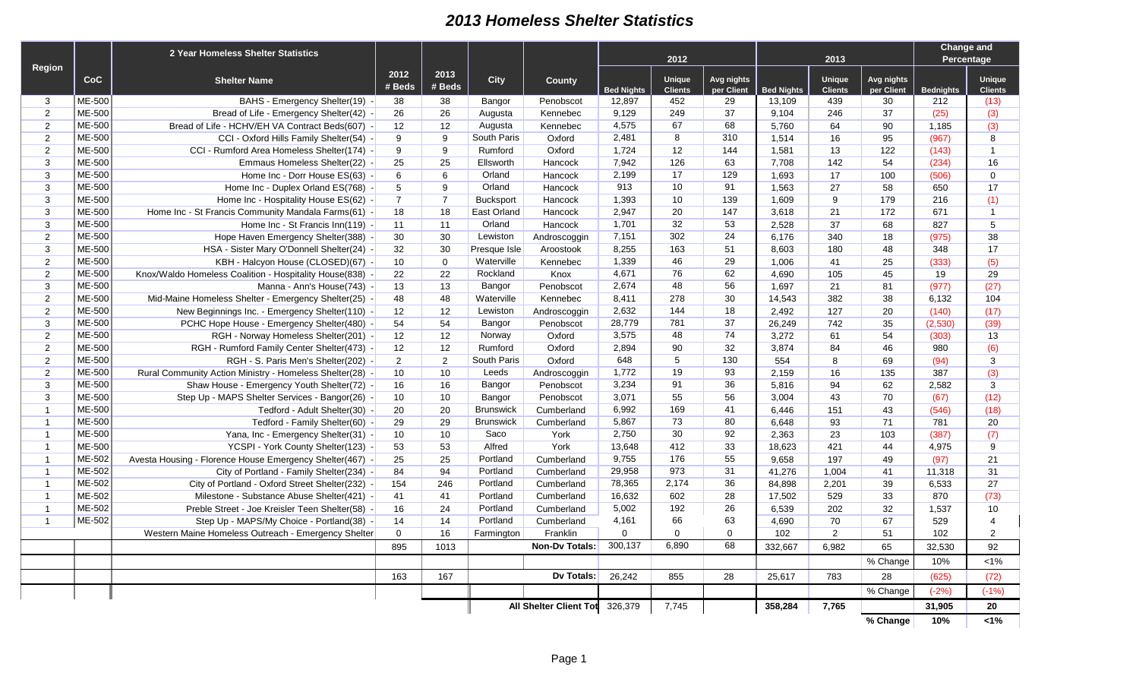## *2013 Homeless Shelter Statistics*

|                |               | 2 Year Homeless Shelter Statistics                       |                |                |                  |                                |                   |                          |                          |                   |                                 | <b>Change and</b>        |                  |                          |
|----------------|---------------|----------------------------------------------------------|----------------|----------------|------------------|--------------------------------|-------------------|--------------------------|--------------------------|-------------------|---------------------------------|--------------------------|------------------|--------------------------|
|                |               |                                                          |                |                |                  |                                | 2012              |                          |                          |                   | 2013                            | Percentage               |                  |                          |
| Region         | CoC           | <b>Shelter Name</b>                                      | 2012<br># Beds | 2013<br># Beds | <b>City</b>      | <b>County</b>                  | <b>Bed Nights</b> | Unique<br><b>Clients</b> | Avg nights<br>per Client | <b>Bed Nights</b> | <b>Unique</b><br><b>Clients</b> | Avg nights<br>per Client | <b>Bednights</b> | Unique<br><b>Clients</b> |
| 3              | ME-500        | BAHS - Emergency Shelter(19) -                           | 38             | 38             | Bangor           | Penobscot                      | 12,897            | 452                      | 29                       | 13,109            | 439                             | 30                       | 212              | (13)                     |
| $\overline{2}$ | ME-500        | Bread of Life - Emergency Shelter(42) -                  | 26             | 26             | Augusta          | Kennebec                       | 9,129             | 249                      | 37                       | 9,104             | 246                             | 37                       | (25)             | (3)                      |
| 2              | ME-500        | Bread of Life - HCHV/EH VA Contract Beds(607) -          | 12             | 12             | Augusta          | Kennebec                       | 4,575             | 67                       | 68                       | 5,760             | 64                              | 90                       | 1,185            | (3)                      |
| 2              | ME-500        | CCI - Oxford Hills Family Shelter(54) -                  | 9              | 9              | South Paris      | Oxford                         | 2,481             | 8                        | 310                      | 1,514             | 16                              | 95                       | (967)            | 8                        |
| 2              | ME-500        | CCI - Rumford Area Homeless Shelter(174) -               | 9              | 9              | Rumford          | Oxford                         | 1,724             | 12                       | 144                      | 1,581             | 13                              | 122                      | (143)            | $\overline{1}$           |
| 3              | <b>ME-500</b> | Emmaus Homeless Shelter(22) -                            | 25             | 25             | Ellsworth        | Hancock                        | 7,942             | 126                      | 63                       | 7,708             | 142                             | 54                       | (234)            | 16                       |
| 3              | ME-500        | Home Inc - Dorr House ES(63) -                           | 6              | 6              | Orland           | Hancock                        | 2,199             | 17                       | 129                      | 1,693             | 17                              | 100                      | (506)            | $\mathbf 0$              |
| $\mathbf{3}$   | ME-500        | Home Inc - Duplex Orland ES(768) -                       | 5              | 9              | Orland           | Hancock                        | 913               | 10                       | 91                       | 1,563             | 27                              | 58                       | 650              | 17                       |
| 3              | ME-500        | Home Inc - Hospitality House ES(62) -                    | $\overline{7}$ | $\overline{7}$ | <b>Bucksport</b> | Hancock                        | 1,393             | 10                       | 139                      | 1,609             | 9                               | 179                      | 216              | (1)                      |
| $\mathbf{3}$   | ME-500        | Home Inc - St Francis Community Mandala Farms(61) -      | 18             | 18             | East Orland      | Hancock                        | 2,947             | 20                       | 147                      | 3,618             | 21                              | 172                      | 671              | $\overline{1}$           |
| 3              | ME-500        | Home Inc - St Francis Inn(119) -                         | 11             | 11             | Orland           | Hancock                        | 1,701             | 32                       | 53                       | 2,528             | 37                              | 68                       | 827              | 5                        |
| $\overline{2}$ | ME-500        | Hope Haven Emergency Shelter(388) -                      | 30             | 30             | Lewiston         | Androscoggin                   | 7,151             | 302                      | 24                       | 6,176             | 340                             | 18                       | (975)            | 38                       |
| $\mathbf{3}$   | <b>ME-500</b> | HSA - Sister Mary O'Donnell Shelter(24) -                | 32             | 30             | Presque Isle     | Aroostook                      | 8,255             | 163                      | 51                       | 8,603             | 180                             | 48                       | 348              | 17                       |
| 2              | ME-500        | KBH - Halcyon House (CLOSED)(67) -                       | 10             | $\mathbf 0$    | Waterville       | Kennebec                       | 1,339             | 46                       | 29                       | 1,006             | 41                              | 25                       | (333)            | (5)                      |
| 2              | ME-500        | Knox/Waldo Homeless Coalition - Hospitality House(838) - | 22             | 22             | Rockland         | Knox                           | 4,671             | 76                       | 62                       | 4,690             | 105                             | 45                       | 19               | 29                       |
| 3              | ME-500        | Manna - Ann's House(743) -                               | 13             | 13             | Bangor           | Penobscot                      | 2,674             | 48                       | 56                       | 1,697             | 21                              | 81                       | (977)            | (27)                     |
| 2              | ME-500        | Mid-Maine Homeless Shelter - Emergency Shelter(25) -     | 48             | 48             | Waterville       | Kennebec                       | 8,411             | 278                      | 30                       | 14,543            | 382                             | 38                       | 6.132            | 104                      |
| 2              | ME-500        | New Beginnings Inc. - Emergency Shelter(110) -           | 12             | 12             | Lewiston         | Androscoggin                   | 2,632             | 144                      | 18                       | 2,492             | 127                             | 20                       | (140)            | (17)                     |
| 3              | ME-500        | PCHC Hope House - Emergency Shelter(480) -               | 54             | 54             | Bangor           | Penobscot                      | 28,779            | 781                      | 37                       | 26,249            | 742                             | 35                       | (2,530)          | (39)                     |
| 2              | ME-500        | RGH - Norway Homeless Shelter(201) -                     | 12             | 12             | Norway           | Oxford                         | 3,575             | 48                       | 74                       | 3,272             | 61                              | 54                       | (303)            | 13                       |
| 2              | <b>ME-500</b> | RGH - Rumford Family Center Shelter(473) -               | 12             | 12             | Rumford          | Oxford                         | 2.894             | 90                       | 32                       | 3,874             | 84                              | 46                       | 980              | (6)                      |
| 2              | ME-500        | RGH - S. Paris Men's Shelter(202) -                      | $\overline{2}$ | 2              | South Paris      | Oxford                         | 648               | 5                        | 130                      | 554               | 8                               | 69                       | (94)             | 3                        |
| 2              | ME-500        | Rural Community Action Ministry - Homeless Shelter(28) - | 10             | 10             | Leeds            | Androscoggin                   | 1,772             | 19                       | 93                       | 2.159             | 16                              | 135                      | 387              | (3)                      |
| 3              | ME-500        | Shaw House - Emergency Youth Shelter(72) -               | 16             | 16             | Bangor           | Penobscot                      | 3,234             | 91                       | 36                       | 5,816             | 94                              | 62                       | 2.582            | 3                        |
| 3              | ME-500        | Step Up - MAPS Shelter Services - Bangor(26) -           | 10             | 10             | Bangor           | Penobscot                      | 3,071             | 55                       | 56                       | 3.004             | 43                              | 70                       | (67)             | (12)                     |
| $\overline{1}$ | ME-500        | Tedford - Adult Shelter(30) -                            | 20             | 20             | <b>Brunswick</b> | Cumberland                     | 6,992             | 169                      | 41                       | 6,446             | 151                             | 43                       | (546)            | (18)                     |
| $\overline{1}$ | ME-500        | Tedford - Family Shelter(60) -                           | 29             | 29             | <b>Brunswick</b> | Cumberland                     | 5,867             | 73                       | 80                       | 6,648             | 93                              | 71                       | 781              | 20                       |
| $\overline{1}$ | ME-500        | Yana, Inc - Emergency Shelter(31) -                      | 10             | 10             | Saco             | York                           | 2,750             | 30                       | 92                       | 2,363             | 23                              | 103                      | (387)            | (7)                      |
| $\overline{1}$ | ME-500        | YCSPI - York County Shelter(123) -                       | 53             | 53             | Alfred           | York                           | 13,648            | 412                      | 33                       | 18,623            | 421                             | 44                       | 4,975            | 9                        |
| $\overline{1}$ | ME-502        | Avesta Housing - Florence House Emergency Shelter(467) - | 25             | 25             | Portland         | Cumberland                     | 9,755             | 176                      | 55                       | 9,658             | 197                             | 49                       | (97)             | 21                       |
| $\overline{1}$ | ME-502        | City of Portland - Family Shelter(234) -                 | 84             | 94             | Portland         | Cumberland                     | 29,958            | 973                      | 31                       | 41,276            | 1,004                           | 41                       | 11,318           | 31                       |
| $\overline{1}$ | ME-502        | City of Portland - Oxford Street Shelter(232) -          | 154            | 246            | Portland         | Cumberland                     | 78,365            | 2,174                    | 36                       | 84,898            | 2,201                           | 39                       | 6,533            | 27                       |
| $\overline{1}$ | ME-502        | Milestone - Substance Abuse Shelter(421) -               | 41             | 41             | Portland         | Cumberland                     | 16,632            | 602                      | 28                       | 17,502            | 529                             | 33                       | 870              | (73)                     |
| $\overline{1}$ | ME-502        | Preble Street - Joe Kreisler Teen Shelter(58) -          | 16             | 24             | Portland         | Cumberland                     | 5,002             | 192                      | 26                       | 6,539             | 202                             | 32                       | 1,537            | 10                       |
| $\overline{1}$ | ME-502        | Step Up - MAPS/My Choice - Portland(38) -                | 14             | 14             | Portland         | Cumberland                     | 4,161             | 66                       | 63                       | 4,690             | 70                              | 67                       | 529              | $\overline{4}$           |
|                |               | Western Maine Homeless Outreach - Emergency Shelter      | $\mathbf 0$    | 16             | Farmington       | Franklin                       | $\mathbf 0$       | $\Omega$                 | $\mathbf 0$              | 102               | 2                               | 51                       | 102              | 2                        |
|                |               |                                                          | 895            | 1013           |                  | <b>Non-Dv Totals:</b>          | 300,137           | 6,890                    | 68                       | 332,667           | 6,982                           | 65                       | 32.530           | 92                       |
|                |               |                                                          |                |                |                  |                                |                   |                          |                          |                   |                                 | % Change                 | 10%              | $< 1\%$                  |
|                |               |                                                          | 163            | 167            |                  | Dv Totals:                     | 26,242            | 855                      | 28                       | 25,617            | 783                             | 28                       | (625)            | (72)                     |
|                |               |                                                          |                |                |                  |                                |                   |                          |                          |                   |                                 | % Change                 | $(-2%)$          | $(-1%)$                  |
|                |               |                                                          |                |                |                  | All Shelter Client Tot 326,379 |                   | 7,745                    |                          | 358,284           | 7,765                           |                          | 31,905           | 20                       |

**% Change 10% <1%**